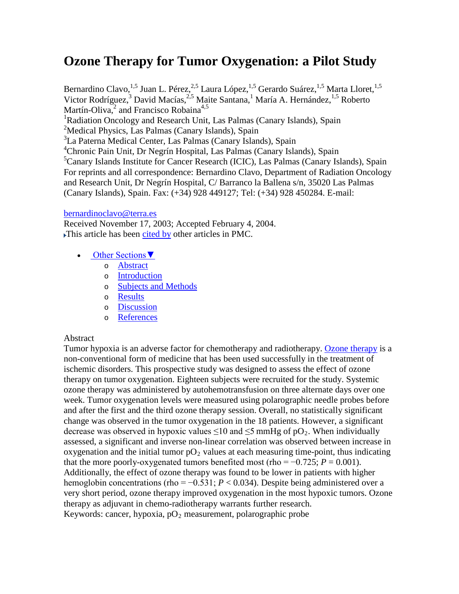# **Ozone Therapy for Tumor Oxygenation: a Pilot Study**

Bernardino Clavo,<sup>1,5</sup> Juan L. Pérez,<sup>2,5</sup> Laura López,<sup>1,5</sup> Gerardo Suárez,<sup>1,5</sup> Marta Lloret,<sup>1,5</sup> Victor Rodríguez,<sup>3</sup> David Macías,<sup>2,5</sup> Maite Santana,<sup>1</sup> María A. Hernández,<sup>1,5</sup> Roberto Martín-Oliva,<sup>2</sup> and Francisco Robaina<sup>4,5</sup> <sup>1</sup>Radiation Oncology and Research Unit, Las Palmas (Canary Islands), Spain <sup>2</sup>Medical Physics, Las Palmas (Canary Islands), Spain <sup>3</sup>La Paterna Medical Center, Las Palmas (Canary Islands), Spain 4 Chronic Pain Unit, Dr Negrín Hospital, Las Palmas (Canary Islands), Spain <sup>5</sup>Canary Islands Institute for Cancer Research (ICIC), Las Palmas (Canary Islands), Spain For reprints and all correspondence: Bernardino Clavo, Department of Radiation Oncology and Research Unit, Dr Negrín Hospital, C/ Barranco la Ballena s/n, 35020 Las Palmas (Canary Islands), Spain. Fax: (+34) 928 449127; Tel: (+34) 928 450284. E-mail:

### [bernardinoclavo@terra.es](mailto:bernardinoclavo@terra.es)

Received November 17, 2003; Accepted February 4, 2004. This article has been [cited by](http://www.ncbi.nlm.nih.gov/pmc/articles/PMC442111/citedby/) other articles in PMC.

- Other Sections ▼
	- o [Abstract](http://www.ncbi.nlm.nih.gov/pmc/articles/PMC442111/)
	- o [Introduction](http://www.ncbi.nlm.nih.gov/pmc/articles/PMC442111/#__secid2815998)
	- o [Subjects and Methods](http://www.ncbi.nlm.nih.gov/pmc/articles/PMC442111/#__secid3181065)
	- o [Results](http://www.ncbi.nlm.nih.gov/pmc/articles/PMC442111/#__secid2811472)
	- o [Discussion](http://www.ncbi.nlm.nih.gov/pmc/articles/PMC442111/#__secid3206086)
	- o [References](http://www.ncbi.nlm.nih.gov/pmc/articles/PMC442111/#__ref-listid3226433)

## Abstract

Tumor hypoxia is an adverse factor for chemotherapy and radiotherapy. [Ozone therapy](http://www.ozonemachine.org/) is a non-conventional form of medicine that has been used successfully in the treatment of ischemic disorders. This prospective study was designed to assess the effect of ozone therapy on tumor oxygenation. Eighteen subjects were recruited for the study. Systemic ozone therapy was administered by autohemotransfusion on three alternate days over one week. Tumor oxygenation levels were measured using polarographic needle probes before and after the first and the third ozone therapy session. Overall, no statistically significant change was observed in the tumor oxygenation in the 18 patients. However, a significant decrease was observed in hypoxic values  $\leq 10$  and  $\leq 5$  mmHg of pO<sub>2</sub>. When individually assessed, a significant and inverse non-linear correlation was observed between increase in oxygenation and the initial tumor  $pO_2$  values at each measuring time-point, thus indicating that the more poorly-oxygenated tumors benefited most (rho =  $-0.725$ ;  $P = 0.001$ ). Additionally, the effect of ozone therapy was found to be lower in patients with higher hemoglobin concentrations (rho = −0.531; *P* < 0.034). Despite being administered over a very short period, ozone therapy improved oxygenation in the most hypoxic tumors. Ozone therapy as adjuvant in chemo-radiotherapy warrants further research. Keywords: cancer, hypoxia,  $pO_2$  measurement, polarographic probe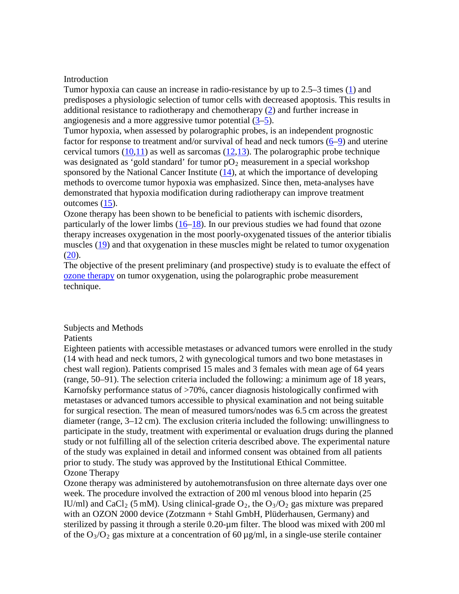#### Introduction

Tumor hypoxia can cause an increase in radio-resistance by up to 2.5–3 times [\(1\)](http://www.ncbi.nlm.nih.gov/pubmed/13106296) and predisposes a physiologic selection of tumor cells with decreased apoptosis. This results in additional resistance to radiotherapy and chemotherapy [\(2\)](http://www.ncbi.nlm.nih.gov/pubmed/8538748) and further increase in angiogenesis and a more aggressive tumor potential [\(3](http://www.ncbi.nlm.nih.gov/pubmed/3200838)[–5\)](http://www.ncbi.nlm.nih.gov/pubmed/11174066).

Tumor hypoxia, when assessed by polarographic probes, is an independent prognostic factor for response to treatment and/or survival of head and neck tumors  $(6-9)$  $(6-9)$  and uterine cervical tumors  $(10,11)$  $(10,11)$  as well as sarcomas  $(12,13)$  $(12,13)$ . The polarographic probe technique was designated as 'gold standard' for tumor  $pO_2$  measurement in a special workshop sponsored by the National Cancer Institute [\(14\)](http://www.ncbi.nlm.nih.gov/pubmed/8278585), at which the importance of developing methods to overcome tumor hypoxia was emphasized. Since then, meta-analyses have demonstrated that hypoxia modification during radiotherapy can improve treatment outcomes [\(15\)](http://www.ncbi.nlm.nih.gov/pubmed/10717158).

Ozone therapy has been shown to be beneficial to patients with ischemic disorders, particularly of the lower limbs  $(16-18)$  $(16-18)$ . In our previous studies we had found that ozone therapy increases oxygenation in the most poorly-oxygenated tissues of the anterior tibialis muscles [\(19\)](http://www.ncbi.nlm.nih.gov/pubmed/12804078) and that oxygenation in these muscles might be related to tumor oxygenation  $(20).$  $(20).$ 

The objective of the present preliminary (and prospective) study is to evaluate the effect of [ozone therapy](http://www.austinozone.com/) on tumor oxygenation, using the polarographic probe measurement technique.

#### Subjects and Methods

#### Patients

Eighteen patients with accessible metastases or advanced tumors were enrolled in the study (14 with head and neck tumors, 2 with gynecological tumors and two bone metastases in chest wall region). Patients comprised 15 males and 3 females with mean age of 64 years (range, 50–91). The selection criteria included the following: a minimum age of 18 years, Karnofsky performance status of >70%, cancer diagnosis histologically confirmed with metastases or advanced tumors accessible to physical examination and not being suitable for surgical resection. The mean of measured tumors/nodes was 6.5 cm across the greatest diameter (range, 3–12 cm). The exclusion criteria included the following: unwillingness to participate in the study, treatment with experimental or evaluation drugs during the planned study or not fulfilling all of the selection criteria described above. The experimental nature of the study was explained in detail and informed consent was obtained from all patients prior to study. The study was approved by the Institutional Ethical Committee. Ozone Therapy

Ozone therapy was administered by autohemotransfusion on three alternate days over one week. The procedure involved the extraction of 200 ml venous blood into heparin (25 IU/ml) and CaCl<sub>2</sub> (5 mM). Using clinical-grade  $O_2$ , the  $O_3/O_2$  gas mixture was prepared with an OZON 2000 device (Zotzmann + Stahl GmbH, Plüderhausen, Germany) and sterilized by passing it through a sterile 0.20-µm filter. The blood was mixed with 200 ml of the  $O_3/O_2$  gas mixture at a concentration of 60  $\mu$ g/ml, in a single-use sterile container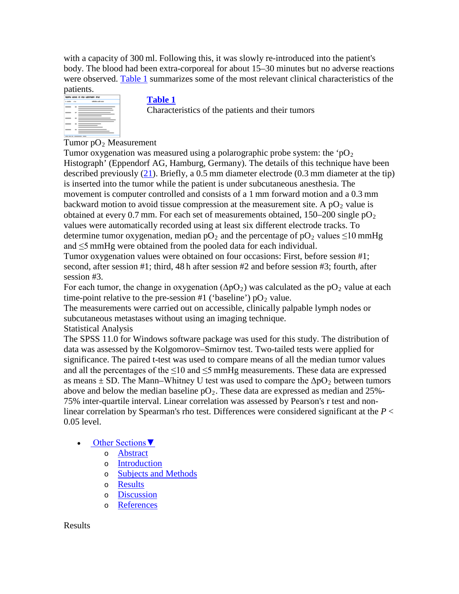with a capacity of 300 ml. Following this, it was slowly re-introduced into the patient's body. The blood had been extra-corporeal for about 15–30 minutes but no adverse reactions were observed. [Table 1](http://www.ncbi.nlm.nih.gov/pmc/articles/PMC442111/table/tbl1/) summarizes some of the most relevant clinical characteristics of the



# **[Table 1](http://www.ncbi.nlm.nih.gov/pmc/articles/PMC442111/table/tbl1/)**

Characteristics of the patients and their tumors

Tumor  $pO_2$  Measurement

Tumor oxygenation was measured using a polarographic probe system: the ' $pO<sub>2</sub>$ Histograph' (Eppendorf AG, Hamburg, Germany). The details of this technique have been described previously [\(21\)](http://www.ncbi.nlm.nih.gov/pubmed/2040005). Briefly, a 0.5 mm diameter electrode (0.3 mm diameter at the tip) is inserted into the tumor while the patient is under subcutaneous anesthesia. The movement is computer controlled and consists of a 1 mm forward motion and a 0.3 mm backward motion to avoid tissue compression at the measurement site. A  $pO_2$  value is obtained at every 0.7 mm. For each set of measurements obtained,  $150-200$  single  $pO<sub>2</sub>$ values were automatically recorded using at least six different electrode tracks. To determine tumor oxygenation, median  $pO_2$  and the percentage of  $pO_2$  values  $\leq 10$  mmHg and ≤5 mmHg were obtained from the pooled data for each individual.

Tumor oxygenation values were obtained on four occasions: First, before session #1; second, after session #1; third, 48 h after session #2 and before session #3; fourth, after session #3.

For each tumor, the change in oxygenation  $(\Delta pO_2)$  was calculated as the pO<sub>2</sub> value at each time-point relative to the pre-session #1 ('baseline')  $pO_2$  value.

The measurements were carried out on accessible, clinically palpable lymph nodes or subcutaneous metastases without using an imaging technique.

Statistical Analysis

The SPSS 11.0 for Windows software package was used for this study. The distribution of data was assessed by the Kolgomorov–Smirnov test. Two-tailed tests were applied for significance. The paired t-test was used to compare means of all the median tumor values and all the percentages of the  $\leq 10$  and  $\leq 5$  mmHg measurements. These data are expressed as means  $\pm$  SD. The Mann–Whitney U test was used to compare the  $\Delta pO_2$  between tumors above and below the median baseline  $pO_2$ . These data are expressed as median and 25%-75% inter-quartile interval. Linear correlation was assessed by Pearson's r test and nonlinear correlation by Spearman's rho test. Differences were considered significant at the *P* < 0.05 level.

- [Other Sections▼](http://www.ncbi.nlm.nih.gov/pmc/articles/PMC442111/)
	- o [Abstract](http://www.ncbi.nlm.nih.gov/pmc/articles/PMC442111/#__abstractid2806590)
	- o [Introduction](http://www.ncbi.nlm.nih.gov/pmc/articles/PMC442111/#__secid2815998)
	- o [Subjects and Methods](http://www.ncbi.nlm.nih.gov/pmc/articles/PMC442111/#__secid3181065)
	- o [Results](http://www.ncbi.nlm.nih.gov/pmc/articles/PMC442111/)
	- o [Discussion](http://www.ncbi.nlm.nih.gov/pmc/articles/PMC442111/#__secid3206086)
	- o [References](http://www.ncbi.nlm.nih.gov/pmc/articles/PMC442111/#__ref-listid3226433)

Results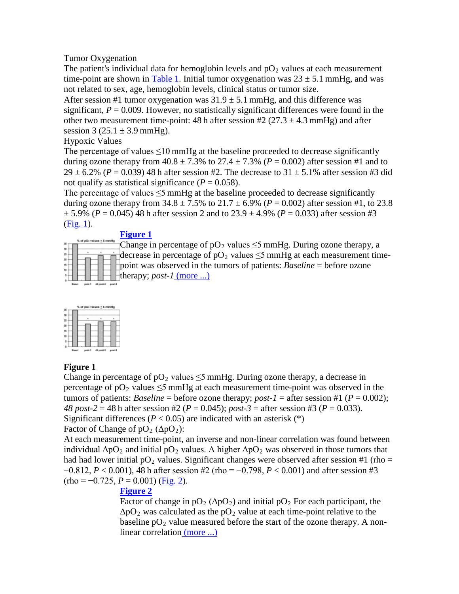# Tumor Oxygenation

The patient's individual data for hemoglobin levels and  $pO<sub>2</sub>$  values at each measurement time-point are shown in [Table 1.](http://www.ncbi.nlm.nih.gov/pmc/articles/PMC442111/table/tbl1/) Initial tumor oxygenation was  $23 \pm 5.1$  mmHg, and was not related to sex, age, hemoglobin levels, clinical status or tumor size.

After session #1 tumor oxygenation was  $31.9 \pm 5.1$  mmHg, and this difference was significant,  $P = 0.009$ . However, no statistically significant differences were found in the other two measurement time-point: 48 h after session #2 (27.3  $\pm$  4.3 mmHg) and after session  $3 (25.1 \pm 3.9 \text{ mmHg}).$ 

Hypoxic Values

The percentage of values  $\leq 10$  mmHg at the baseline proceeded to decrease significantly during ozone therapy from  $40.8 \pm 7.3$ % to  $27.4 \pm 7.3$ % ( $P = 0.002$ ) after session #1 and to 29  $\pm$  6.2% (*P* = 0.039) 48 h after session #2. The decrease to 31  $\pm$  5.1% after session #3 did not qualify as statistical significance ( $P = 0.058$ ).

The percentage of values  $\leq$ 5 mmHg at the baseline proceeded to decrease significantly during ozone therapy from  $34.8 \pm 7.5\%$  to  $21.7 \pm 6.9\%$  ( $P = 0.002$ ) after session #1, to 23.8  $\pm$  5.9% (*P* = 0.045) 48 h after session 2 and to 23.9  $\pm$  4.9% (*P* = 0.033) after session #3 [\(Fig. 1\)](http://www.ncbi.nlm.nih.gov/pmc/articles/PMC442111/figure/f1/).

# **[Figure 1](http://www.ncbi.nlm.nih.gov/pmc/articles/PMC442111/figure/f1/)**

| ٠ |             | % of p0; values < 5 mmHg |  |          |         |  |
|---|-------------|--------------------------|--|----------|---------|--|
|   |             |                          |  |          |         |  |
|   |             |                          |  |          |         |  |
|   |             |                          |  |          |         |  |
|   |             |                          |  |          |         |  |
|   |             |                          |  |          |         |  |
|   |             |                          |  |          |         |  |
|   |             |                          |  |          |         |  |
|   | <b>Easy</b> |                          |  | Edward B | D.lieto |  |

Change in percentage of  $pO_2$  values  $\leq$ 5 mmHg. During ozone therapy, a decrease in percentage of  $pO_2$  values  $\leq$ 5 mmHg at each measurement timepoint was observed in the tumors of patients: *Baseline* = before ozone therapy; *post-1* [\(more ...\)](http://www.ncbi.nlm.nih.gov/pmc/articles/PMC442111/figure/f1/)



# **Figure 1**

Change in percentage of  $pO_2$  values  $\leq 5$  mmHg. During ozone therapy, a decrease in percentage of  $pO_2$  values  $\leq 5$  mmHg at each measurement time-point was observed in the tumors of patients: *Baseline* = before ozone therapy; *post-1* = after session #1 ( $P = 0.002$ ); *48 post-2* = 48 h after session #2 (*P* = 0.045); *post-3* = after session #3 (*P* = 0.033). Significant differences ( $P < 0.05$ ) are indicated with an asterisk (\*) Factor of Change of  $pO_2$  ( $\Delta pO_2$ ):

At each measurement time-point, an inverse and non-linear correlation was found between individual  $\Delta pO_2$  and initial pO<sub>2</sub> values. A higher  $\Delta pO_2$  was observed in those tumors that had had lower initial  $pO_2$  values. Significant changes were observed after session #1 (rho = −0.812, *P* < 0.001), 48 h after session #2 (rho = −0.798, *P* < 0.001) and after session #3  $(rho = -0.725, P = 0.001)$  [\(Fig. 2\)](http://www.ncbi.nlm.nih.gov/pmc/articles/PMC442111/figure/f2/).

# **[Figure 2](http://www.ncbi.nlm.nih.gov/pmc/articles/PMC442111/figure/f2/)**

Factor of change in  $pO_2$  ( $\Delta pO_2$ ) and initial  $pO_2$  For each participant, the  $\Delta pO_2$  was calculated as the pO<sub>2</sub> value at each time-point relative to the baseline  $pO_2$  value measured before the start of the ozone therapy. A nonlinear correlation [\(more ...\)](http://www.ncbi.nlm.nih.gov/pmc/articles/PMC442111/figure/f2/)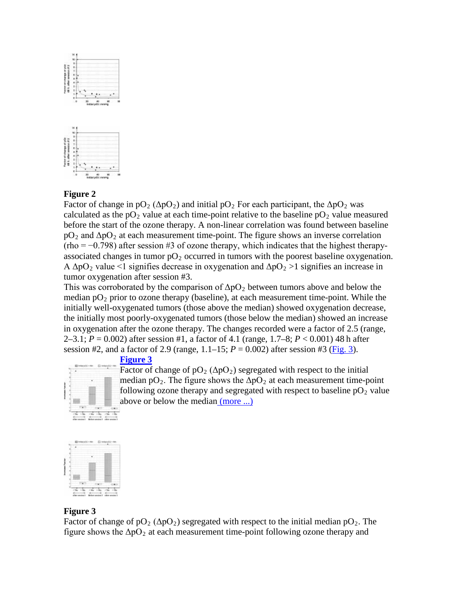

# **Figure 2**

Factor of change in  $pO_2$  ( $\Delta pO_2$ ) and initial  $pO_2$  For each participant, the  $\Delta pO_2$  was calculated as the  $pO_2$  value at each time-point relative to the baseline  $pO_2$  value measured before the start of the ozone therapy. A non-linear correlation was found between baseline  $pO_2$  and  $\Delta pO_2$  at each measurement time-point. The figure shows an inverse correlation  $(rho = -0.798)$  after session #3 of ozone therapy, which indicates that the highest therapyassociated changes in tumor  $pO_2$  occurred in tumors with the poorest baseline oxygenation. A  $\Delta$ pO<sub>2</sub> value <1 signifies decrease in oxygenation and  $\Delta$ pO<sub>2</sub> >1 signifies an increase in tumor oxygenation after session #3.

This was corroborated by the comparison of  $\Delta pO_2$  between tumors above and below the median  $pO_2$  prior to ozone therapy (baseline), at each measurement time-point. While the initially well-oxygenated tumors (those above the median) showed oxygenation decrease, the initially most poorly-oxygenated tumors (those below the median) showed an increase in oxygenation after the ozone therapy. The changes recorded were a factor of 2.5 (range, 2–3.1; *P* = 0.002) after session #1, a factor of 4.1 (range, 1.7–8; *P* < 0.001) 48 h after session #2, and a factor of 2.9 (range,  $1.1-15$ ;  $P = 0.002$ ) after session #3 ( $Fig. 3$ ).</u>

# **[Figure 3](http://www.ncbi.nlm.nih.gov/pmc/articles/PMC442111/figure/f3/)**

Factor of change of  $pO_2$  ( $\Delta pO_2$ ) segregated with respect to the initial median  $pO_2$ . The figure shows the  $\Delta pO_2$  at each measurement time-point following ozone therapy and segregated with respect to baseline  $pO_2$  value above or below the median [\(more ...\)](http://www.ncbi.nlm.nih.gov/pmc/articles/PMC442111/figure/f3/)



## **Figure 3**

Factor of change of  $pO_2$  ( $\Delta pO_2$ ) segregated with respect to the initial median  $pO_2$ . The figure shows the  $\Delta pO_2$  at each measurement time-point following ozone therapy and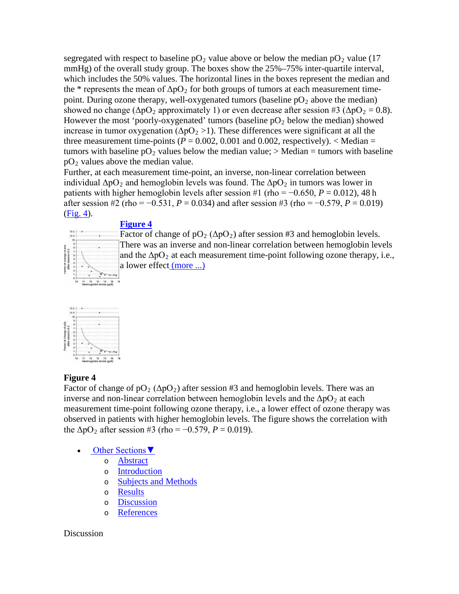segregated with respect to baseline  $pO_2$  value above or below the median  $pO_2$  value (17) mmHg) of the overall study group. The boxes show the 25%–75% inter-quartile interval, which includes the 50% values. The horizontal lines in the boxes represent the median and the \* represents the mean of  $\Delta pO_2$  for both groups of tumors at each measurement timepoint. During ozone therapy, well-oxygenated tumors (baseline  $pO_2$  above the median) showed no change ( $\Delta pO_2$  approximately 1) or even decrease after session #3 ( $\Delta pO_2 = 0.8$ ). However the most 'poorly-oxygenated' tumors (baseline  $pO_2$  below the median) showed increase in tumor oxygenation ( $\Delta pO_2 > 1$ ). These differences were significant at all the three measurement time-points  $(P = 0.002, 0.001$  and 0.002, respectively).  $\lt$  Median = tumors with baseline  $pO_2$  values below the median value;  $>$  Median = tumors with baseline  $pO<sub>2</sub>$  values above the median value.

Further, at each measurement time-point, an inverse, non-linear correlation between individual  $\Delta pO_2$  and hemoglobin levels was found. The  $\Delta pO_2$  in tumors was lower in patients with higher hemoglobin levels after session #1 (rho =  $-0.650$ ,  $P = 0.012$ ), 48 h after session #2 (rho = −0.531, *P* = 0.034) and after session #3 (rho = −0.579, *P* = 0.019) [\(Fig. 4\)](http://www.ncbi.nlm.nih.gov/pmc/articles/PMC442111/figure/f4/).

# **[Figure 4](http://www.ncbi.nlm.nih.gov/pmc/articles/PMC442111/figure/f4/)**



Factor of change of  $pO_2$  ( $\Delta pO_2$ ) after session #3 and hemoglobin levels. There was an inverse and non-linear correlation between hemoglobin levels and the  $\Delta pO_2$  at each measurement time-point following ozone therapy, i.e., a lower effect [\(more ...\)](http://www.ncbi.nlm.nih.gov/pmc/articles/PMC442111/figure/f4/)



## **Figure 4**

Factor of change of  $pO_2$  ( $\Delta pO_2$ ) after session #3 and hemoglobin levels. There was an inverse and non-linear correlation between hemoglobin levels and the  $\Delta pO_2$  at each measurement time-point following ozone therapy, i.e., a lower effect of ozone therapy was observed in patients with higher hemoglobin levels. The figure shows the correlation with the  $\Delta pO_2$  after session #3 (rho = -0.579, *P* = 0.019).

- [Other Sections▼](http://www.ncbi.nlm.nih.gov/pmc/articles/PMC442111/)
	- o [Abstract](http://www.ncbi.nlm.nih.gov/pmc/articles/PMC442111/#__abstractid2806590)
	- o [Introduction](http://www.ncbi.nlm.nih.gov/pmc/articles/PMC442111/#__secid2815998)
	- o [Subjects and Methods](http://www.ncbi.nlm.nih.gov/pmc/articles/PMC442111/#__secid3181065)
	- o [Results](http://www.ncbi.nlm.nih.gov/pmc/articles/PMC442111/#__secid2811472)
	- o [Discussion](http://www.ncbi.nlm.nih.gov/pmc/articles/PMC442111/)
	- o [References](http://www.ncbi.nlm.nih.gov/pmc/articles/PMC442111/#__ref-listid3226433)

## Discussion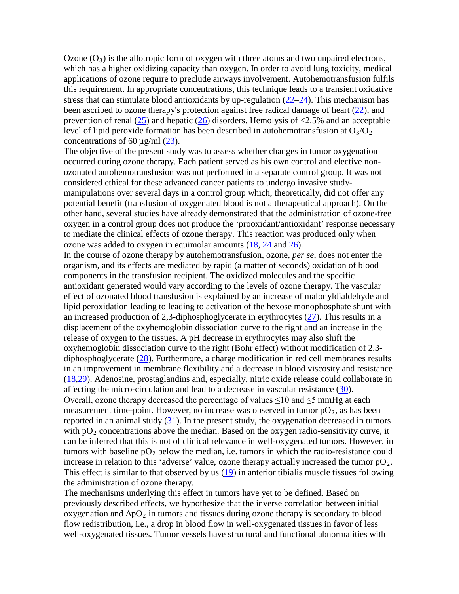Ozone  $(O_3)$  is the allotropic form of oxygen with three atoms and two unpaired electrons, which has a higher oxidizing capacity than oxygen. In order to avoid lung toxicity, medical applications of ozone require to preclude airways involvement. Autohemotransfusion fulfils this requirement. In appropriate concentrations, this technique leads to a transient oxidative stress that can stimulate blood antioxidants by up-regulation [\(22–](http://www.ncbi.nlm.nih.gov/pubmed/7635353)[24\)](http://www.ncbi.nlm.nih.gov/pubmed/9792340). This mechanism has been ascribed to ozone therapy's protection against free radical damage of heart [\(22\)](http://www.ncbi.nlm.nih.gov/pubmed/7635353), and prevention of renal  $(25)$  and hepatic  $(26)$  disorders. Hemolysis of  $\langle 2.5\%$  and an acceptable level of lipid peroxide formation has been described in autohemotransfusion at  $O_3/O_2$ concentrations of 60  $\mu$ g/ml [\(23\)](http://www.ncbi.nlm.nih.gov/pubmed/8692040).

The objective of the present study was to assess whether changes in tumor oxygenation occurred during ozone therapy. Each patient served as his own control and elective nonozonated autohemotransfusion was not performed in a separate control group. It was not considered ethical for these advanced cancer patients to undergo invasive studymanipulations over several days in a control group which, theoretically, did not offer any potential benefit (transfusion of oxygenated blood is not a therapeutical approach). On the other hand, several studies have already demonstrated that the administration of ozone-free oxygen in a control group does not produce the 'prooxidant/antioxidant' response necessary to mediate the clinical effects of ozone therapy. This reaction was produced only when ozone was added to oxygen in equimolar amounts [\(18,](http://www.ncbi.nlm.nih.gov/pubmed/11797116) [24](http://www.ncbi.nlm.nih.gov/pubmed/9792340) and [26\)](http://www.ncbi.nlm.nih.gov/pubmed/10499775).

In the course of ozone therapy by autohemotransfusion, ozone, *per se*, does not enter the organism, and its effects are mediated by rapid (a matter of seconds) oxidation of blood components in the transfusion recipient. The oxidized molecules and the specific antioxidant generated would vary according to the levels of ozone therapy. The vascular effect of ozonated blood transfusion is explained by an increase of malonyldialdehyde and lipid peroxidation leading to leading to activation of the hexose monophosphate shunt with an increased production of 2,3-diphosphoglycerate in erythrocytes  $(27)$ . This results in a displacement of the oxyhemoglobin dissociation curve to the right and an increase in the release of oxygen to the tissues. A pH decrease in erythrocytes may also shift the oxyhemoglobin dissociation curve to the right (Bohr effect) without modification of 2,3 diphosphoglycerate [\(28\)](http://www.ncbi.nlm.nih.gov/pubmed/8529759). Furthermore, a charge modification in red cell membranes results in an improvement in membrane flexibility and a decrease in blood viscosity and resistance [\(18](http://www.ncbi.nlm.nih.gov/pubmed/11797116)[,29\)](http://www.ncbi.nlm.nih.gov/pubmed/7742706). Adenosine, prostaglandins and, especially, nitric oxide release could collaborate in affecting the micro-circulation and lead to a decrease in vascular resistance [\(30\)](http://www.ncbi.nlm.nih.gov/pubmed/11213910). Overall, ozone therapy decreased the percentage of values  $\leq 10$  and  $\leq 5$  mmHg at each measurement time-point. However, no increase was observed in tumor  $pO_2$ , as has been reported in an animal study  $(31)$ . In the present study, the oxygenation decreased in tumors with  $pO<sub>2</sub>$  concentrations above the median. Based on the oxygen radio-sensitivity curve, it can be inferred that this is not of clinical relevance in well-oxygenated tumors. However, in tumors with baseline  $pO_2$  below the median, i.e. tumors in which the radio-resistance could increase in relation to this 'adverse' value, ozone therapy actually increased the tumor  $pO_2$ . This effect is similar to that observed by us [\(19\)](http://www.ncbi.nlm.nih.gov/pubmed/12804078) in anterior tibialis muscle tissues following the administration of ozone therapy.

The mechanisms underlying this effect in tumors have yet to be defined. Based on previously described effects, we hypothesize that the inverse correlation between initial oxygenation and  $\Delta pO_2$  in tumors and tissues during ozone therapy is secondary to blood flow redistribution, i.e., a drop in blood flow in well-oxygenated tissues in favor of less well-oxygenated tissues. Tumor vessels have structural and functional abnormalities with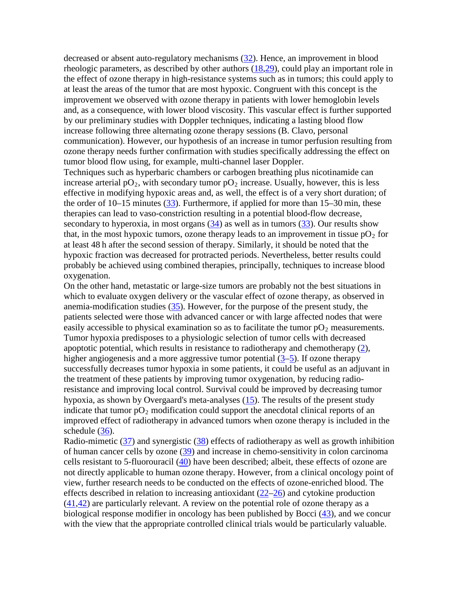decreased or absent auto-regulatory mechanisms [\(32\)](http://www.ncbi.nlm.nih.gov/pubmed/2684393). Hence, an improvement in blood rheologic parameters, as described by other authors [\(18,](http://www.ncbi.nlm.nih.gov/pubmed/11797116)[29\)](http://www.ncbi.nlm.nih.gov/pubmed/7742706), could play an important role in the effect of ozone therapy in high-resistance systems such as in tumors; this could apply to at least the areas of the tumor that are most hypoxic. Congruent with this concept is the improvement we observed with ozone therapy in patients with lower hemoglobin levels and, as a consequence, with lower blood viscosity. This vascular effect is further supported by our preliminary studies with Doppler techniques, indicating a lasting blood flow increase following three alternating ozone therapy sessions (B. Clavo, personal communication). However, our hypothesis of an increase in tumor perfusion resulting from ozone therapy needs further confirmation with studies specifically addressing the effect on tumor blood flow using, for example, multi-channel laser Doppler.

Techniques such as hyperbaric chambers or carbogen breathing plus nicotinamide can increase arterial  $pO_2$ , with secondary tumor  $pO_2$  increase. Usually, however, this is less effective in modifying hypoxic areas and, as well, the effect is of a very short duration; of the order of 10–15 minutes [\(33\)](http://www.ncbi.nlm.nih.gov/pubmed/1419637). Furthermore, if applied for more than 15–30 min, these therapies can lead to vaso-constriction resulting in a potential blood-flow decrease, secondary to hyperoxia, in most organs  $(34)$  as well as in tumors  $(33)$ . Our results show that, in the most hypoxic tumors, ozone therapy leads to an improvement in tissue  $pO_2$  for at least 48 h after the second session of therapy. Similarly, it should be noted that the hypoxic fraction was decreased for protracted periods. Nevertheless, better results could probably be achieved using combined therapies, principally, techniques to increase blood oxygenation.

On the other hand, metastatic or large-size tumors are probably not the best situations in which to evaluate oxygen delivery or the vascular effect of ozone therapy, as observed in anemia-modification studies [\(35\)](http://www.ncbi.nlm.nih.gov/pmc/articles/PMC442111/#b35). However, for the purpose of the present study, the patients selected were those with advanced cancer or with large affected nodes that were easily accessible to physical examination so as to facilitate the tumor  $pO_2$  measurements. Tumor hypoxia predisposes to a physiologic selection of tumor cells with decreased apoptotic potential, which results in resistance to radiotherapy and chemotherapy [\(2\)](http://www.ncbi.nlm.nih.gov/pubmed/8538748), higher angiogenesis and a more aggressive tumor potential  $(3-5)$  $(3-5)$ . If ozone therapy successfully decreases tumor hypoxia in some patients, it could be useful as an adjuvant in the treatment of these patients by improving tumor oxygenation, by reducing radioresistance and improving local control. Survival could be improved by decreasing tumor hypoxia, as shown by Overgaard's meta-analyses  $(15)$ . The results of the present study indicate that tumor  $pO_2$  modification could support the anecdotal clinical reports of an improved effect of radiotherapy in advanced tumors when ozone therapy is included in the schedule [\(36\)](http://www.ncbi.nlm.nih.gov/pubmed/4446040).

Radio-mimetic  $(37)$  and synergistic  $(38)$  effects of radiotherapy as well as growth inhibition of human cancer cells by ozone [\(39\)](http://www.ncbi.nlm.nih.gov/pubmed/7403859) and increase in chemo-sensitivity in colon carcinoma cells resistant to 5-fluorouracil [\(40\)](http://www.ncbi.nlm.nih.gov/pubmed/2311442) have been described; albeit, these effects of ozone are not directly applicable to human ozone therapy. However, from a clinical oncology point of view, further research needs to be conducted on the effects of ozone-enriched blood. The effects described in relation to increasing antioxidant [\(22](http://www.ncbi.nlm.nih.gov/pubmed/7635353)[–26\)](http://www.ncbi.nlm.nih.gov/pubmed/10499775) and cytokine production  $(41, 42)$  $(41, 42)$  are particularly relevant. A review on the potential role of ozone therapy as a biological response modifier in oncology has been published by Bocci [\(43\)](http://www.ncbi.nlm.nih.gov/pubmed/9761985), and we concur with the view that the appropriate controlled clinical trials would be particularly valuable.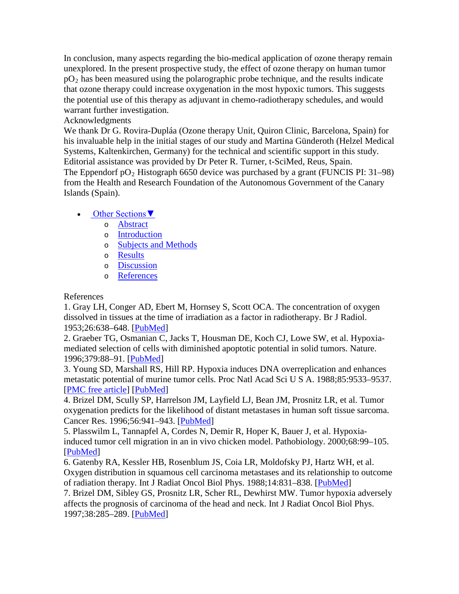In conclusion, many aspects regarding the bio-medical application of ozone therapy remain unexplored. In the present prospective study, the effect of ozone therapy on human tumor  $pO<sub>2</sub>$  has been measured using the polarographic probe technique, and the results indicate that ozone therapy could increase oxygenation in the most hypoxic tumors. This suggests the potential use of this therapy as adjuvant in chemo-radiotherapy schedules, and would warrant further investigation.

# Acknowledgments

We thank Dr G. Rovira-Dupláa (Ozone therapy Unit, Quiron Clinic, Barcelona, Spain) for his invaluable help in the initial stages of our study and Martina Günderoth (Helzel Medical Systems, Kaltenkirchen, Germany) for the technical and scientific support in this study. Editorial assistance was provided by Dr Peter R. Turner, t-SciMed, Reus, Spain.

The Eppendorf  $pO_2$  Histograph 6650 device was purchased by a grant (FUNCIS PI: 31–98) from the Health and Research Foundation of the Autonomous Government of the Canary Islands (Spain).

# • [Other Sections▼](http://www.ncbi.nlm.nih.gov/pmc/articles/PMC442111/)

- o [Abstract](http://www.ncbi.nlm.nih.gov/pmc/articles/PMC442111/#__abstractid2806590)
- o [Introduction](http://www.ncbi.nlm.nih.gov/pmc/articles/PMC442111/#__secid2815998)
- o [Subjects and Methods](http://www.ncbi.nlm.nih.gov/pmc/articles/PMC442111/#__secid3181065)
- o [Results](http://www.ncbi.nlm.nih.gov/pmc/articles/PMC442111/#__secid2811472)
- o [Discussion](http://www.ncbi.nlm.nih.gov/pmc/articles/PMC442111/#__secid3206086)
- o [References](http://www.ncbi.nlm.nih.gov/pmc/articles/PMC442111/)

# References

1. Gray LH, Conger AD, Ebert M, Hornsey S, Scott OCA. The concentration of oxygen dissolved in tissues at the time of irradiation as a factor in radiotherapy. Br J Radiol. 1953;26:638–648. [\[PubMed\]](http://www.ncbi.nlm.nih.gov/pubmed/13106296)

2. Graeber TG, Osmanian C, Jacks T, Housman DE, Koch CJ, Lowe SW, et al. Hypoxiamediated selection of cells with diminished apoptotic potential in solid tumors. Nature. 1996;379:88–91. [\[PubMed\]](http://www.ncbi.nlm.nih.gov/pubmed/8538748)

3. Young SD, Marshall RS, Hill RP. Hypoxia induces DNA overreplication and enhances metastatic potential of murine tumor cells. Proc Natl Acad Sci U S A. 1988;85:9533–9537. [\[PMC free article\]](http://www.ncbi.nlm.nih.gov/pmc/articles/PMC282788/) [\[PubMed\]](http://www.ncbi.nlm.nih.gov/pubmed/3200838)

4. Brizel DM, Scully SP, Harrelson JM, Layfield LJ, Bean JM, Prosnitz LR, et al. Tumor oxygenation predicts for the likelihood of distant metastases in human soft tissue sarcoma. Cancer Res. 1996;56:941–943. [\[PubMed\]](http://www.ncbi.nlm.nih.gov/pubmed/8640781)

5. Plasswilm L, Tannapfel A, Cordes N, Demir R, Hoper K, Bauer J, et al. Hypoxiainduced tumor cell migration in an in vivo chicken model. Pathobiology. 2000;68:99–105. [\[PubMed\]](http://www.ncbi.nlm.nih.gov/pubmed/11174066)

6. Gatenby RA, Kessler HB, Rosenblum JS, Coia LR, Moldofsky PJ, Hartz WH, et al. Oxygen distribution in squamous cell carcinoma metastases and its relationship to outcome of radiation therapy. Int J Radiat Oncol Biol Phys. 1988;14:831–838. [\[PubMed\]](http://www.ncbi.nlm.nih.gov/pubmed/3360652)

7. Brizel DM, Sibley GS, Prosnitz LR, Scher RL, Dewhirst MW. Tumor hypoxia adversely affects the prognosis of carcinoma of the head and neck. Int J Radiat Oncol Biol Phys. 1997;38:285–289. [\[PubMed\]](http://www.ncbi.nlm.nih.gov/pubmed/9226314)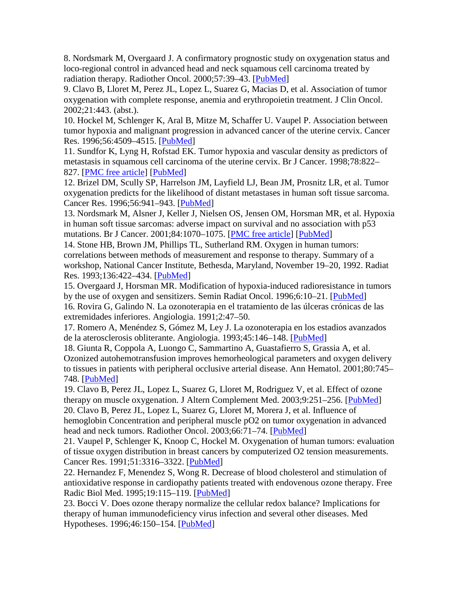8. Nordsmark M, Overgaard J. A confirmatory prognostic study on oxygenation status and loco-regional control in advanced head and neck squamous cell carcinoma treated by radiation therapy. Radiother Oncol. 2000;57:39–43. [\[PubMed\]](http://www.ncbi.nlm.nih.gov/pubmed/11033187)

9. Clavo B, Lloret M, Perez JL, Lopez L, Suarez G, Macias D, et al. Association of tumor oxygenation with complete response, anemia and erythropoietin treatment. J Clin Oncol. 2002;21:443. (abst.).

10. Hockel M, Schlenger K, Aral B, Mitze M, Schaffer U. Vaupel P. Association between tumor hypoxia and malignant progression in advanced cancer of the uterine cervix. Cancer Res. 1996;56:4509–4515. [\[PubMed\]](http://www.ncbi.nlm.nih.gov/pubmed/8813149)

11. Sundfor K, Lyng H, Rofstad EK. Tumor hypoxia and vascular density as predictors of metastasis in squamous cell carcinoma of the uterine cervix. Br J Cancer. 1998;78:822– 827. [\[PMC free article\]](http://www.ncbi.nlm.nih.gov/pmc/articles/PMC2062967/) [\[PubMed\]](http://www.ncbi.nlm.nih.gov/pubmed/9743308)

12. Brizel DM, Scully SP, Harrelson JM, Layfield LJ, Bean JM, Prosnitz LR, et al. Tumor oxygenation predicts for the likelihood of distant metastases in human soft tissue sarcoma. Cancer Res. 1996;56:941–943. [\[PubMed\]](http://www.ncbi.nlm.nih.gov/pubmed/8640781)

13. Nordsmark M, Alsner J, Keller J, Nielsen OS, Jensen OM, Horsman MR, et al. Hypoxia in human soft tissue sarcomas: adverse impact on survival and no association with p53 mutations. Br J Cancer. 2001;84:1070-1075. [\[PMC free article\]](http://www.ncbi.nlm.nih.gov/pmc/articles/PMC2363869/) [\[PubMed\]](http://www.ncbi.nlm.nih.gov/pubmed/11308256)

14. Stone HB, Brown JM, Phillips TL, Sutherland RM. Oxygen in human tumors: correlations between methods of measurement and response to therapy. Summary of a workshop, National Cancer Institute, Bethesda, Maryland, November 19–20, 1992. Radiat Res. 1993;136:422–434. [\[PubMed\]](http://www.ncbi.nlm.nih.gov/pubmed/8278585)

15. Overgaard J, Horsman MR. Modification of hypoxia-induced radioresistance in tumors by the use of oxygen and sensitizers. Semin Radiat Oncol. 1996;6:10–21. [\[PubMed\]](http://www.ncbi.nlm.nih.gov/pubmed/10717158) 16. Rovira G, Galindo N. La ozonoterapia en el tratamiento de las úlceras crónicas de las extremidades inferiores. Angiologia. 1991;2:47–50.

17. Romero A, Menéndez S, Gómez M, Ley J. La ozonoterapia en los estadios avanzados de la aterosclerosis obliterante. Angiologia. 1993;45:146–148. [\[PubMed\]](http://www.ncbi.nlm.nih.gov/pubmed/8239044)

18. Giunta R, Coppola A, Luongo C, Sammartino A, Guastafierro S, Grassia A, et al. Ozonized autohemotransfusion improves hemorheological parameters and oxygen delivery to tissues in patients with peripheral occlusive arterial disease. Ann Hematol. 2001;80:745– 748. [\[PubMed\]](http://www.ncbi.nlm.nih.gov/pubmed/11797116)

19. Clavo B, Perez JL, Lopez L, Suarez G, Lloret M, Rodriguez V, et al. Effect of ozone therapy on muscle oxygenation. J Altern Complement Med. 2003;9:251–256. [\[PubMed\]](http://www.ncbi.nlm.nih.gov/pubmed/12804078) 20. Clavo B, Perez JL, Lopez L, Suarez G, Lloret M, Morera J, et al. Influence of hemoglobin Concentration and peripheral muscle pO2 on tumor oxygenation in advanced head and neck tumors. Radiother Oncol. 2003;66:71-74. [\[PubMed\]](http://www.ncbi.nlm.nih.gov/pubmed/12559523)

21. Vaupel P, Schlenger K, Knoop C, Hockel M. Oxygenation of human tumors: evaluation of tissue oxygen distribution in breast cancers by computerized O2 tension measurements. Cancer Res. 1991;51:3316–3322. [\[PubMed\]](http://www.ncbi.nlm.nih.gov/pubmed/2040005)

22. Hernandez F, Menendez S, Wong R. Decrease of blood cholesterol and stimulation of antioxidative response in cardiopathy patients treated with endovenous ozone therapy. Free Radic Biol Med. 1995;19:115–119. [\[PubMed\]](http://www.ncbi.nlm.nih.gov/pubmed/7635353)

23. Bocci V. Does ozone therapy normalize the cellular redox balance? Implications for therapy of human immunodeficiency virus infection and several other diseases. Med Hypotheses. 1996;46:150–154. [\[PubMed\]](http://www.ncbi.nlm.nih.gov/pubmed/8692040)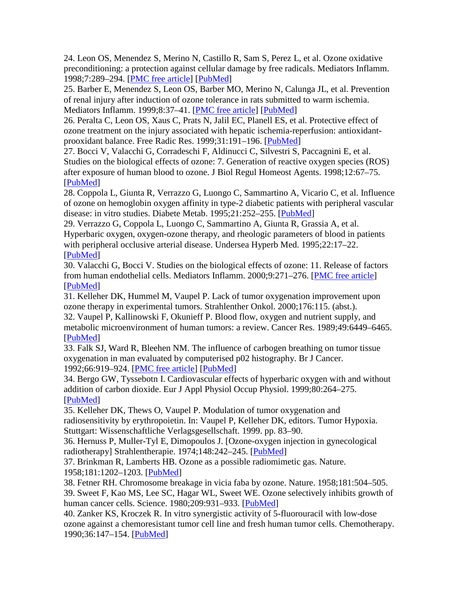24. Leon OS, Menendez S, Merino N, Castillo R, Sam S, Perez L, et al. Ozone oxidative preconditioning: a protection against cellular damage by free radicals. Mediators Inflamm. 1998;7:289–294. [\[PMC free article\]](http://www.ncbi.nlm.nih.gov/pmc/articles/PMC1781855/) [\[PubMed\]](http://www.ncbi.nlm.nih.gov/pubmed/9792340)

25. Barber E, Menendez S, Leon OS, Barber MO, Merino N, Calunga JL, et al. Prevention of renal injury after induction of ozone tolerance in rats submitted to warm ischemia. Mediators Inflamm. 1999;8:37–41. [\[PMC free article\]](http://www.ncbi.nlm.nih.gov/pmc/articles/PMC1781776/) [\[PubMed\]](http://www.ncbi.nlm.nih.gov/pubmed/10704088)

26. Peralta C, Leon OS, Xaus C, Prats N, Jalil EC, Planell ES, et al. Protective effect of ozone treatment on the injury associated with hepatic ischemia-reperfusion: antioxidantprooxidant balance. Free Radic Res. 1999;31:191–196. [\[PubMed\]](http://www.ncbi.nlm.nih.gov/pubmed/10499775)

27. Bocci V, Valacchi G, Corradeschi F, Aldinucci C, Silvestri S, Paccagnini E, et al. Studies on the biological effects of ozone: 7. Generation of reactive oxygen species (ROS) after exposure of human blood to ozone. J Biol Regul Homeost Agents. 1998;12:67–75. [\[PubMed\]](http://www.ncbi.nlm.nih.gov/pubmed/9795834)

28. Coppola L, Giunta R, Verrazzo G, Luongo C, Sammartino A, Vicario C, et al. Influence of ozone on hemoglobin oxygen affinity in type-2 diabetic patients with peripheral vascular disease: in vitro studies. Diabete Metab. 1995;21:252–255. [\[PubMed\]](http://www.ncbi.nlm.nih.gov/pubmed/8529759)

29. Verrazzo G, Coppola L, Luongo C, Sammartino A, Giunta R, Grassia A, et al. Hyperbaric oxygen, oxygen-ozone therapy, and rheologic parameters of blood in patients with peripheral occlusive arterial disease. Undersea Hyperb Med. 1995;22:17–22. [\[PubMed\]](http://www.ncbi.nlm.nih.gov/pubmed/7742706)

30. Valacchi G, Bocci V. Studies on the biological effects of ozone: 11. Release of factors from human endothelial cells. Mediators Inflamm. 2000;9:271–276. [\[PMC free article\]](http://www.ncbi.nlm.nih.gov/pmc/articles/PMC1781775/) [\[PubMed\]](http://www.ncbi.nlm.nih.gov/pubmed/11213910)

31. Kelleher DK, Hummel M, Vaupel P. Lack of tumor oxygenation improvement upon ozone therapy in experimental tumors. Strahlenther Onkol. 2000;176:115. (abst.). 32. Vaupel P, Kallinowski F, Okunieff P. Blood flow, oxygen and nutrient supply, and metabolic microenvironment of human tumors: a review. Cancer Res. 1989;49:6449–6465. [\[PubMed\]](http://www.ncbi.nlm.nih.gov/pubmed/2684393)

33. Falk SJ, Ward R, Bleehen NM. The influence of carbogen breathing on tumor tissue oxygenation in man evaluated by computerised p02 histography. Br J Cancer. 1992;66:919–924. [\[PMC free article\]](http://www.ncbi.nlm.nih.gov/pmc/articles/PMC1977971/) [\[PubMed\]](http://www.ncbi.nlm.nih.gov/pubmed/1419637)

34. Bergo GW, Tyssebotn I. Cardiovascular effects of hyperbaric oxygen with and without addition of carbon dioxide. Eur J Appl Physiol Occup Physiol. 1999;80:264–275. [\[PubMed\]](http://www.ncbi.nlm.nih.gov/pubmed/10483795)

35. Kelleher DK, Thews O, Vaupel P. Modulation of tumor oxygenation and radiosensitivity by erythropoietin. In: Vaupel P, Kelleher DK, editors. Tumor Hypoxia. Stuttgart: Wissenschaftliche Verlagsgesellschaft. 1999. pp. 83–90.

36. Hernuss P, Muller-Tyl E, Dimopoulos J. [Ozone-oxygen injection in gynecological radiotherapy] Strahlentherapie. 1974;148:242-245. [\[PubMed\]](http://www.ncbi.nlm.nih.gov/pubmed/4446040)

37. Brinkman R, Lamberts HB. Ozone as a possible radiomimetic gas. Nature. 1958;181:1202–1203. [\[PubMed\]](http://www.ncbi.nlm.nih.gov/pubmed/13541419)

38. Fetner RH. Chromosome breakage in vicia faba by ozone. Nature. 1958;181:504–505.

39. Sweet F, Kao MS, Lee SC, Hagar WL, Sweet WE. Ozone selectively inhibits growth of human cancer cells. Science. 1980;209:931-933. [\[PubMed\]](http://www.ncbi.nlm.nih.gov/pubmed/7403859)

40. Zanker KS, Kroczek R. In vitro synergistic activity of 5-fluorouracil with low-dose ozone against a chemoresistant tumor cell line and fresh human tumor cells. Chemotherapy. 1990;36:147–154. [\[PubMed\]](http://www.ncbi.nlm.nih.gov/pubmed/2311442)